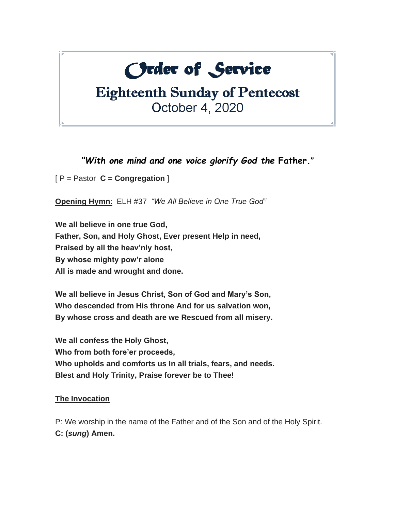# **Order of Service**

# **Eighteenth Sunday of Pentecost** October 4, 2020

*"With one mind and one voice glorify God the* **Father."**

[ P = Pastor **C = Congregation** ]

**Opening Hymn**: ELH #37 *"We All Believe in One True God"*

**We all believe in one true God, Father, Son, and Holy Ghost, Ever present Help in need, Praised by all the heav'nly host, By whose mighty pow'r alone All is made and wrought and done.**

**We all believe in Jesus Christ, Son of God and Mary's Son, Who descended from His throne And for us salvation won, By whose cross and death are we Rescued from all misery.**

**We all confess the Holy Ghost, Who from both fore'er proceeds, Who upholds and comforts us In all trials, fears, and needs. Blest and Holy Trinity, Praise forever be to Thee!**

#### **The Invocation**

P: We worship in the name of the Father and of the Son and of the Holy Spirit. **C: (***sung***) Amen.**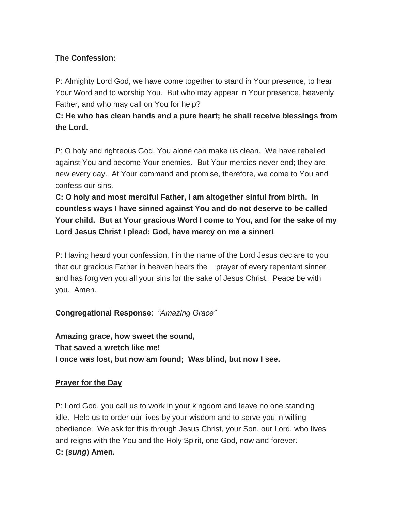## **The Confession:**

P: Almighty Lord God, we have come together to stand in Your presence, to hear Your Word and to worship You. But who may appear in Your presence, heavenly Father, and who may call on You for help?

**C: He who has clean hands and a pure heart; he shall receive blessings from the Lord.**

P: O holy and righteous God, You alone can make us clean. We have rebelled against You and become Your enemies. But Your mercies never end; they are new every day. At Your command and promise, therefore, we come to You and confess our sins.

**C: O holy and most merciful Father, I am altogether sinful from birth. In countless ways I have sinned against You and do not deserve to be called Your child. But at Your gracious Word I come to You, and for the sake of my Lord Jesus Christ I plead: God, have mercy on me a sinner!**

P: Having heard your confession, I in the name of the Lord Jesus declare to you that our gracious Father in heaven hears the prayer of every repentant sinner, and has forgiven you all your sins for the sake of Jesus Christ. Peace be with you. Amen.

#### **Congregational Response**: *"Amazing Grace"*

**Amazing grace, how sweet the sound, That saved a wretch like me! I once was lost, but now am found; Was blind, but now I see.**

#### **Prayer for the Day**

P: Lord God, you call us to work in your kingdom and leave no one standing idle. Help us to order our lives by your wisdom and to serve you in willing obedience. We ask for this through Jesus Christ, your Son, our Lord, who lives and reigns with the You and the Holy Spirit, one God, now and forever. **C: (***sung***) Amen.**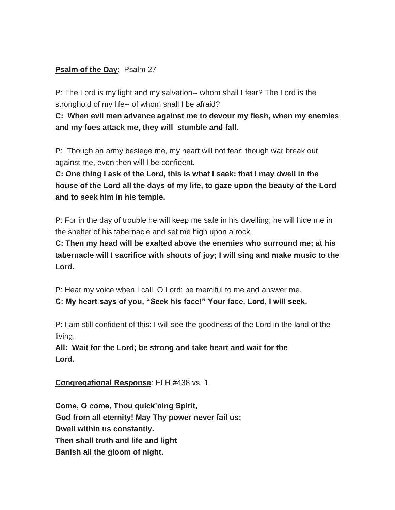#### **Psalm of the Day: Psalm 27**

P: The Lord is my light and my salvation-- whom shall I fear? The Lord is the stronghold of my life-- of whom shall I be afraid?

**C: When evil men advance against me to devour my flesh, when my enemies and my foes attack me, they will stumble and fall.**

P: Though an army besiege me, my heart will not fear; though war break out against me, even then will I be confident.

**C: One thing I ask of the Lord, this is what I seek: that I may dwell in the house of the Lord all the days of my life, to gaze upon the beauty of the Lord and to seek him in his temple.**

P: For in the day of trouble he will keep me safe in his dwelling; he will hide me in the shelter of his tabernacle and set me high upon a rock.

**C: Then my head will be exalted above the enemies who surround me; at his tabernacle will I sacrifice with shouts of joy; I will sing and make music to the Lord.**

P: Hear my voice when I call, O Lord; be merciful to me and answer me.

**C: My heart says of you, "Seek his face!" Your face, Lord, I will seek.**

P: I am still confident of this: I will see the goodness of the Lord in the land of the living.

**All: Wait for the Lord; be strong and take heart and wait for the Lord.** 

**Congregational Response**: ELH #438 vs. 1

**Come, O come, Thou quick'ning Spirit, God from all eternity! May Thy power never fail us; Dwell within us constantly. Then shall truth and life and light Banish all the gloom of night.**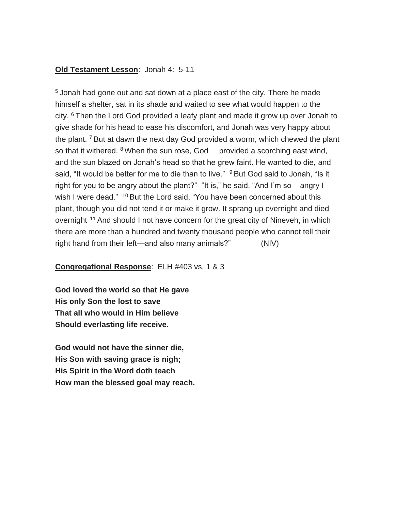#### **Old Testament Lesson**: Jonah 4: 5-11

<sup>5</sup> Jonah had gone out and sat down at a place east of the city. There he made himself a shelter, sat in its shade and waited to see what would happen to the city. <sup>6</sup> Then the Lord God provided a leafy plant and made it grow up over Jonah to give shade for his head to ease his discomfort, and Jonah was very happy about the plant.  $7$  But at dawn the next day God provided a worm, which chewed the plant so that it withered.  $8$  When the sun rose, God provided a scorching east wind, and the sun blazed on Jonah's head so that he grew faint. He wanted to die, and said, "It would be better for me to die than to live." <sup>9</sup> But God said to Jonah, "Is it right for you to be angry about the plant?" "It is," he said. "And I'm so angry I wish I were dead." <sup>10</sup> But the Lord said, "You have been concerned about this plant, though you did not tend it or make it grow. It sprang up overnight and died overnight<sup>. 11</sup> And should I not have concern for the great city of Nineveh, in which there are more than a hundred and twenty thousand people who cannot tell their right hand from their left—and also many animals?" (NIV)

#### **Congregational Response**: ELH #403 vs. 1 & 3

**God loved the world so that He gave His only Son the lost to save That all who would in Him believe Should everlasting life receive.**

**God would not have the sinner die, His Son with saving grace is nigh; His Spirit in the Word doth teach How man the blessed goal may reach.**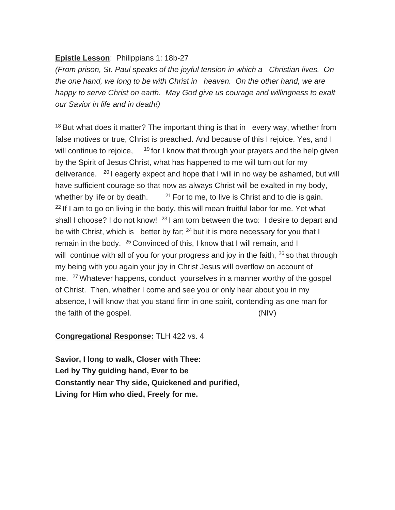#### **Epistle Lesson**: Philippians 1: 18b-27

*(From prison, St. Paul speaks of the joyful tension in which a Christian lives. On the one hand, we long to be with Christ in heaven. On the other hand, we are happy to serve Christ on earth. May God give us courage and willingness to exalt our Savior in life and in death!)*

 $18$  But what does it matter? The important thing is that in every way, whether from false motives or true, Christ is preached. And because of this I rejoice. Yes, and I will continue to rejoice, 19 for I know that through your prayers and the help given by the Spirit of Jesus Christ, what has happened to me will turn out for my deliverance. <sup>20</sup> I eagerly expect and hope that I will in no way be ashamed, but will have sufficient courage so that now as always Christ will be exalted in my body, whether by life or by death. <sup>21</sup> For to me, to live is Christ and to die is gain.  $22$  If I am to go on living in the body, this will mean fruitful labor for me. Yet what shall I choose? I do not know! <sup>23</sup> I am torn between the two: I desire to depart and be with Christ, which is better by far;  $24$  but it is more necessary for you that I remain in the body. <sup>25</sup> Convinced of this, I know that I will remain, and I will continue with all of you for your progress and joy in the faith,  $26$  so that through my being with you again your joy in Christ Jesus will overflow on account of me. <sup>27</sup> Whatever happens, conduct yourselves in a manner worthy of the gospel of Christ. Then, whether I come and see you or only hear about you in my absence, I will know that you stand firm in one spirit, contending as one man for the faith of the gospel. (NIV)

#### **Congregational Response:** TLH 422 vs. 4

**Savior, I long to walk, Closer with Thee: Led by Thy guiding hand, Ever to be Constantly near Thy side, Quickened and purified, Living for Him who died, Freely for me.**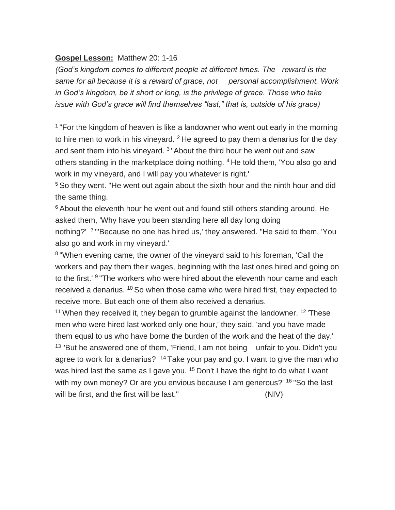#### **Gospel Lesson:** Matthew 20: 1-16

*(God's kingdom comes to different people at different times. The reward is the*  same for all because it is a reward of grace, not personal accomplishment. Work *in God's kingdom, be it short or long, is the privilege of grace. Those who take issue with God's grace will find themselves "last," that is, outside of his grace)*

<sup>1</sup> "For the kingdom of heaven is like a landowner who went out early in the morning to hire men to work in his vineyard.  $2$  He agreed to pay them a denarius for the day and sent them into his vineyard. <sup>3</sup> "About the third hour he went out and saw others standing in the marketplace doing nothing. <sup>4</sup> He told them, 'You also go and work in my vineyard, and I will pay you whatever is right.'

<sup>5</sup> So they went. "He went out again about the sixth hour and the ninth hour and did the same thing.

<sup>6</sup> About the eleventh hour he went out and found still others standing around. He asked them, 'Why have you been standing here all day long doing nothing?' <sup>7</sup> "'Because no one has hired us,' they answered. "He said to them, 'You also go and work in my vineyard.'

<sup>8</sup> "When evening came, the owner of the vineyard said to his foreman, 'Call the workers and pay them their wages, beginning with the last ones hired and going on to the first.'<sup>9</sup> "The workers who were hired about the eleventh hour came and each received a denarius. <sup>10</sup> So when those came who were hired first, they expected to receive more. But each one of them also received a denarius.

<sup>11</sup> When they received it, they began to grumble against the landowner. <sup>12</sup> These men who were hired last worked only one hour,' they said, 'and you have made them equal to us who have borne the burden of the work and the heat of the day.' <sup>13</sup> "But he answered one of them, 'Friend, I am not being unfair to you. Didn't you agree to work for a denarius? <sup>14</sup> Take your pay and go. I want to give the man who was hired last the same as I gave you. <sup>15</sup> Don't I have the right to do what I want with my own money? Or are you envious because I am generous?' <sup>16</sup> "So the last will be first, and the first will be last." (NIV)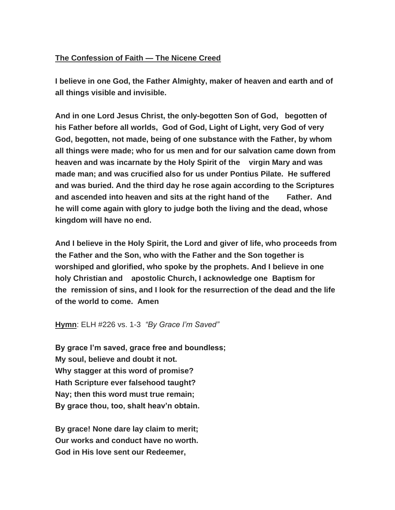#### **The Confession of Faith — The Nicene Creed**

**I believe in one God, the Father Almighty, maker of heaven and earth and of all things visible and invisible.**

**And in one Lord Jesus Christ, the only-begotten Son of God, begotten of his Father before all worlds, God of God, Light of Light, very God of very God, begotten, not made, being of one substance with the Father, by whom all things were made; who for us men and for our salvation came down from heaven and was incarnate by the Holy Spirit of the virgin Mary and was made man; and was crucified also for us under Pontius Pilate. He suffered and was buried. And the third day he rose again according to the Scriptures and ascended into heaven and sits at the right hand of the Father. And he will come again with glory to judge both the living and the dead, whose kingdom will have no end.**

**And I believe in the Holy Spirit, the Lord and giver of life, who proceeds from the Father and the Son, who with the Father and the Son together is worshiped and glorified, who spoke by the prophets. And I believe in one holy Christian and apostolic Church, I acknowledge one Baptism for the remission of sins, and I look for the resurrection of the dead and the life of the world to come. Amen**

**Hymn**: ELH #226 vs. 1-3 *"By Grace I'm Saved"*

**By grace I'm saved, grace free and boundless; My soul, believe and doubt it not. Why stagger at this word of promise? Hath Scripture ever falsehood taught? Nay; then this word must true remain; By grace thou, too, shalt heav'n obtain.**

**By grace! None dare lay claim to merit; Our works and conduct have no worth. God in His love sent our Redeemer,**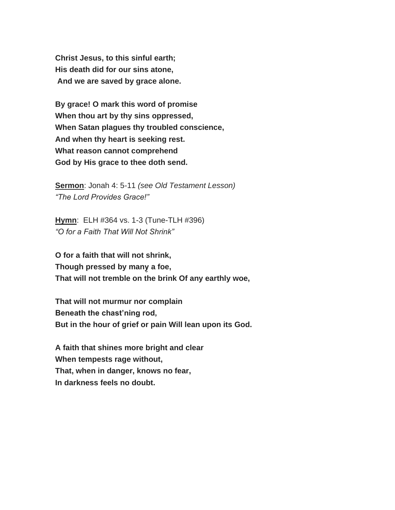**Christ Jesus, to this sinful earth; His death did for our sins atone, And we are saved by grace alone.**

**By grace! O mark this word of promise When thou art by thy sins oppressed, When Satan plagues thy troubled conscience, And when thy heart is seeking rest. What reason cannot comprehend God by His grace to thee doth send.**

**Sermon**: Jonah 4: 5-11 *(see Old Testament Lesson) "The Lord Provides Grace!"*

**Hymn**: ELH #364 vs. 1-3 (Tune-TLH #396) *"O for a Faith That Will Not Shrink"*

**O for a faith that will not shrink, Though pressed by many̮ a foe, That will not tremble on the brink Of any earthly woe,**

**That will not murmur nor complain Beneath the chast'ning rod, But in the hour of grief or pain Will lean upon its God.**

**A faith that shines more bright and clear When tempests rage without, That, when in danger, knows no fear, In darkness feels no doubt.**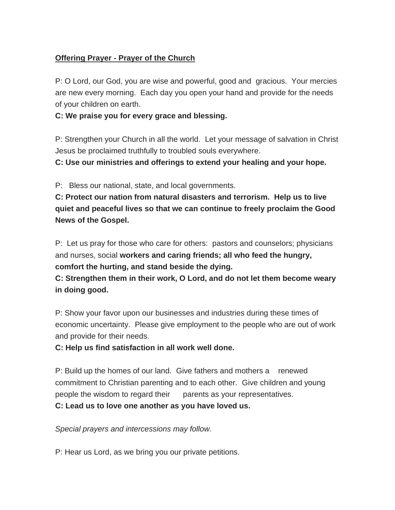#### **Offering Prayer - Prayer of the Church**

P: O Lord, our God, you are wise and powerful, good and gracious. Your mercies are new every morning. Each day you open your hand and provide for the needs of your children on earth.

#### **C: We praise you for every grace and blessing.**

P: Strengthen your Church in all the world. Let your message of salvation in Christ Jesus be proclaimed truthfully to troubled souls everywhere.

**C: Use our ministries and offerings to extend your healing and your hope.**

P: Bless our national, state, and local governments.

**C: Protect our nation from natural disasters and terrorism. Help us to live quiet and peaceful lives so that we can continue to freely proclaim the Good News of the Gospel.**

P: Let us pray for those who care for others: pastors and counselors; physicians and nurses, social **workers and caring friends; all who feed the hungry, comfort the hurting, and stand beside the dying.**

**C: Strengthen them in their work, O Lord, and do not let them become weary in doing good.**

P: Show your favor upon our businesses and industries during these times of economic uncertainty. Please give employment to the people who are out of work and provide for their needs.

#### **C: Help us find satisfaction in all work well done.**

P: Build up the homes of our land. Give fathers and mothers a renewed commitment to Christian parenting and to each other. Give children and young people the wisdom to regard their parents as your representatives. **C: Lead us to love one another as you have loved us.**

*Special prayers and intercessions may follow.*

P: Hear us Lord, as we bring you our private petitions.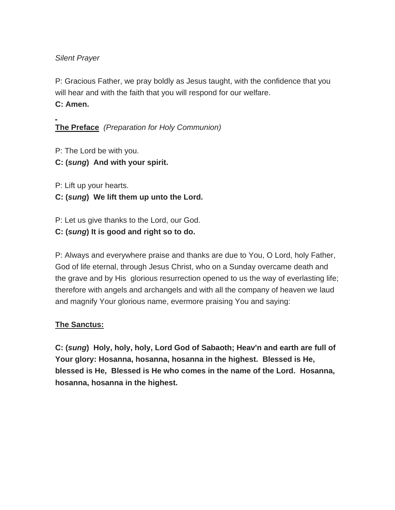#### *Silent Prayer*

P: Gracious Father, we pray boldly as Jesus taught, with the confidence that you will hear and with the faith that you will respond for our welfare.

#### **C: Amen.**

**The Preface** *(Preparation for Holy Communion)*

P: The Lord be with you.

**C: (***sung***) And with your spirit.**

P: Lift up your hearts.

## **C: (***sung***) We lift them up unto the Lord.**

P: Let us give thanks to the Lord, our God.

**C: (***sung***) It is good and right so to do.**

P: Always and everywhere praise and thanks are due to You, O Lord, holy Father, God of life eternal, through Jesus Christ, who on a Sunday overcame death and the grave and by His glorious resurrection opened to us the way of everlasting life; therefore with angels and archangels and with all the company of heaven we laud and magnify Your glorious name, evermore praising You and saying:

#### **The Sanctus:**

**C: (***sung***) Holy, holy, holy, Lord God of Sabaoth; Heav'n and earth are full of Your glory: Hosanna, hosanna, hosanna in the highest. Blessed is He, blessed is He, Blessed is He who comes in the name of the Lord. Hosanna, hosanna, hosanna in the highest.**